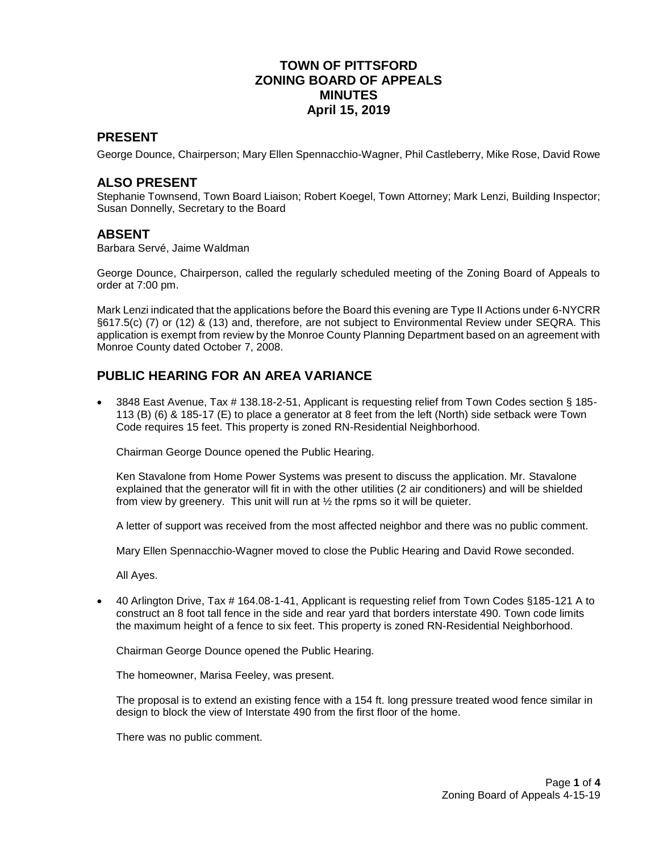### **TOWN OF PITTSFORD ZONING BOARD OF APPEALS MINUTES April 15, 2019**

### **PRESENT**

George Dounce, Chairperson; Mary Ellen Spennacchio-Wagner, Phil Castleberry, Mike Rose, David Rowe

### **ALSO PRESENT**

Stephanie Townsend, Town Board Liaison; Robert Koegel, Town Attorney; Mark Lenzi, Building Inspector; Susan Donnelly, Secretary to the Board

#### **ABSENT**

Barbara Servé, Jaime Waldman

George Dounce, Chairperson, called the regularly scheduled meeting of the Zoning Board of Appeals to order at 7:00 pm.

Mark Lenzi indicated that the applications before the Board this evening are Type II Actions under 6-NYCRR §617.5(c) (7) or (12) & (13) and, therefore, are not subject to Environmental Review under SEQRA. This application is exempt from review by the Monroe County Planning Department based on an agreement with Monroe County dated October 7, 2008.

# **PUBLIC HEARING FOR AN AREA VARIANCE**

 3848 East Avenue, Tax # 138.18-2-51, Applicant is requesting relief from Town Codes section § 185- 113 (B) (6) & 185-17 (E) to place a generator at 8 feet from the left (North) side setback were Town Code requires 15 feet. This property is zoned RN-Residential Neighborhood.

Chairman George Dounce opened the Public Hearing.

Ken Stavalone from Home Power Systems was present to discuss the application. Mr. Stavalone explained that the generator will fit in with the other utilities (2 air conditioners) and will be shielded from view by greenery. This unit will run at  $\frac{1}{2}$  the rpms so it will be quieter.

A letter of support was received from the most affected neighbor and there was no public comment.

Mary Ellen Spennacchio-Wagner moved to close the Public Hearing and David Rowe seconded.

All Ayes.

 40 Arlington Drive, Tax # 164.08-1-41, Applicant is requesting relief from Town Codes §185-121 A to construct an 8 foot tall fence in the side and rear yard that borders interstate 490. Town code limits the maximum height of a fence to six feet. This property is zoned RN-Residential Neighborhood.

Chairman George Dounce opened the Public Hearing.

The homeowner, Marisa Feeley, was present.

The proposal is to extend an existing fence with a 154 ft. long pressure treated wood fence similar in design to block the view of Interstate 490 from the first floor of the home.

There was no public comment.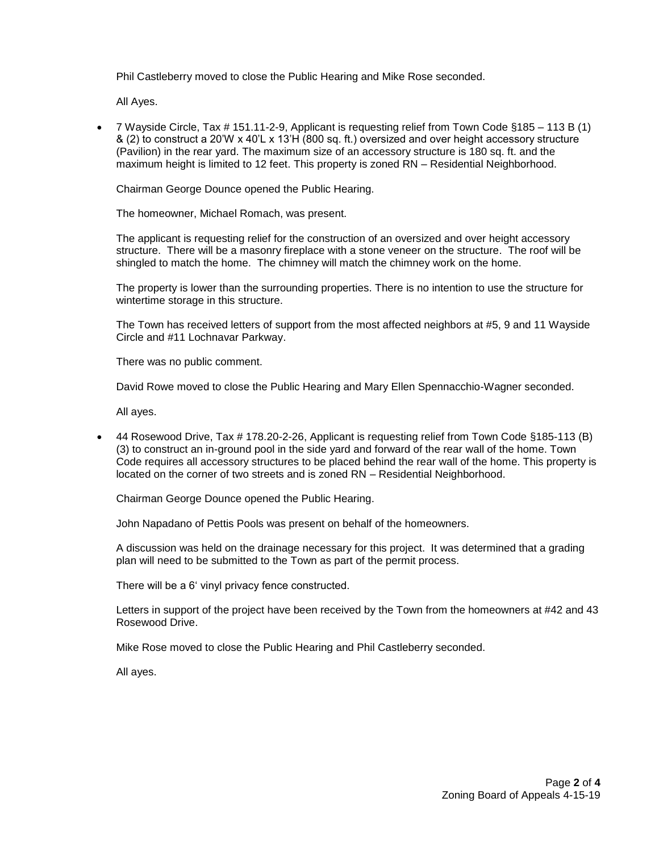Phil Castleberry moved to close the Public Hearing and Mike Rose seconded.

All Ayes.

 7 Wayside Circle, Tax # 151.11-2-9, Applicant is requesting relief from Town Code §185 – 113 B (1) & (2) to construct a 20'W x 40'L x 13'H (800 sq. ft.) oversized and over height accessory structure (Pavilion) in the rear yard. The maximum size of an accessory structure is 180 sq. ft. and the maximum height is limited to 12 feet. This property is zoned RN – Residential Neighborhood.

Chairman George Dounce opened the Public Hearing.

The homeowner, Michael Romach, was present.

The applicant is requesting relief for the construction of an oversized and over height accessory structure. There will be a masonry fireplace with a stone veneer on the structure. The roof will be shingled to match the home. The chimney will match the chimney work on the home.

The property is lower than the surrounding properties. There is no intention to use the structure for wintertime storage in this structure.

The Town has received letters of support from the most affected neighbors at #5, 9 and 11 Wayside Circle and #11 Lochnavar Parkway.

There was no public comment.

David Rowe moved to close the Public Hearing and Mary Ellen Spennacchio-Wagner seconded.

All ayes.

 44 Rosewood Drive, Tax # 178.20-2-26, Applicant is requesting relief from Town Code §185-113 (B) (3) to construct an in-ground pool in the side yard and forward of the rear wall of the home. Town Code requires all accessory structures to be placed behind the rear wall of the home. This property is located on the corner of two streets and is zoned RN – Residential Neighborhood.

Chairman George Dounce opened the Public Hearing.

John Napadano of Pettis Pools was present on behalf of the homeowners.

A discussion was held on the drainage necessary for this project. It was determined that a grading plan will need to be submitted to the Town as part of the permit process.

There will be a 6' vinyl privacy fence constructed.

Letters in support of the project have been received by the Town from the homeowners at #42 and 43 Rosewood Drive.

Mike Rose moved to close the Public Hearing and Phil Castleberry seconded.

All ayes.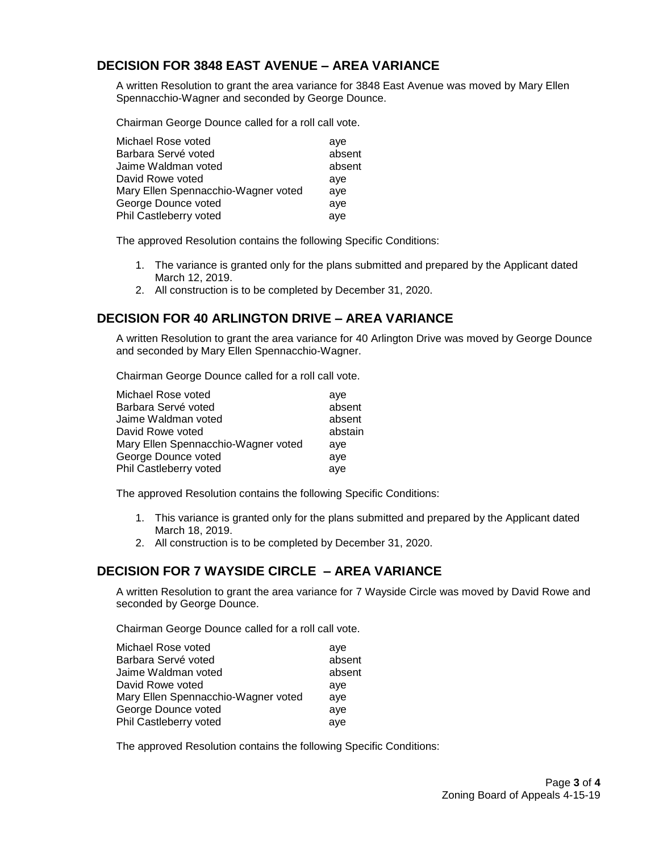# **DECISION FOR 3848 EAST AVENUE – AREA VARIANCE**

A written Resolution to grant the area variance for 3848 East Avenue was moved by Mary Ellen Spennacchio-Wagner and seconded by George Dounce.

Chairman George Dounce called for a roll call vote.

| Michael Rose voted                  | ave    |
|-------------------------------------|--------|
| Barbara Servé voted                 | absent |
| Jaime Waldman voted                 | absent |
| David Rowe voted                    | ave    |
| Mary Ellen Spennacchio-Wagner voted | ave    |
| George Dounce voted                 | aye    |
| Phil Castleberry voted              | aye    |

The approved Resolution contains the following Specific Conditions:

- 1. The variance is granted only for the plans submitted and prepared by the Applicant dated March 12, 2019.
- 2. All construction is to be completed by December 31, 2020.

### **DECISION FOR 40 ARLINGTON DRIVE – AREA VARIANCE**

A written Resolution to grant the area variance for 40 Arlington Drive was moved by George Dounce and seconded by Mary Ellen Spennacchio-Wagner.

Chairman George Dounce called for a roll call vote.

| Michael Rose voted                  | ave     |
|-------------------------------------|---------|
| Barbara Servé voted                 | absent  |
| Jaime Waldman voted                 | absent  |
| David Rowe voted                    | abstain |
| Mary Ellen Spennacchio-Wagner voted | ave     |
| George Dounce voted                 | aye     |
| Phil Castleberry voted              | aye     |
|                                     |         |

The approved Resolution contains the following Specific Conditions:

- 1. This variance is granted only for the plans submitted and prepared by the Applicant dated March 18, 2019.
- 2. All construction is to be completed by December 31, 2020.

### **DECISION FOR 7 WAYSIDE CIRCLE – AREA VARIANCE**

A written Resolution to grant the area variance for 7 Wayside Circle was moved by David Rowe and seconded by George Dounce.

Chairman George Dounce called for a roll call vote.

| Michael Rose voted                  | ave    |
|-------------------------------------|--------|
| Barbara Servé voted                 | absent |
| Jaime Waldman voted                 | absent |
| David Rowe voted                    | ave    |
| Mary Ellen Spennacchio-Wagner voted | ave    |
| George Dounce voted                 | ave    |
| Phil Castleberry voted              | aye    |

The approved Resolution contains the following Specific Conditions: